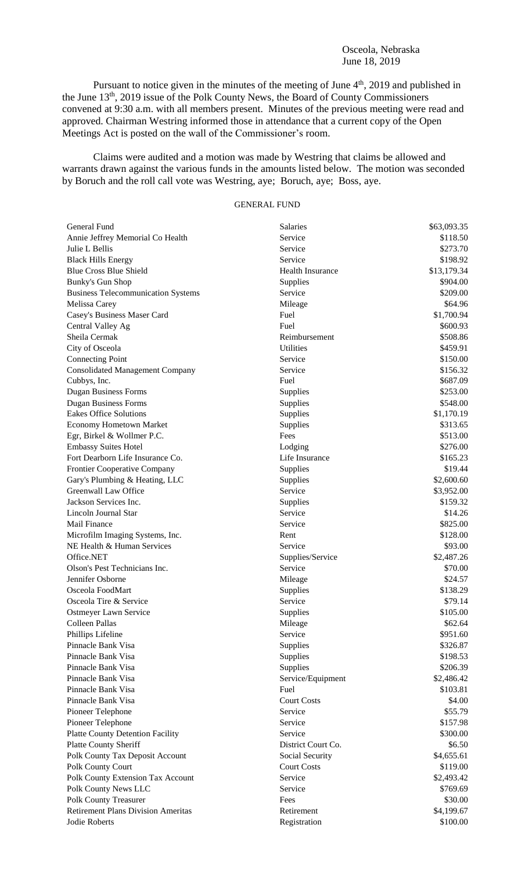#### Osceola, Nebraska June 18, 2019

Pursuant to notice given in the minutes of the meeting of June  $4<sup>th</sup>$ , 2019 and published in the June 13<sup>th</sup>, 2019 issue of the Polk County News, the Board of County Commissioners convened at 9:30 a.m. with all members present. Minutes of the previous meeting were read and approved. Chairman Westring informed those in attendance that a current copy of the Open Meetings Act is posted on the wall of the Commissioner's room.

Claims were audited and a motion was made by Westring that claims be allowed and warrants drawn against the various funds in the amounts listed below. The motion was seconded by Boruch and the roll call vote was Westring, aye; Boruch, aye; Boss, aye.

# GENERAL FUND

| General Fund                                  | Salaries                | \$63,093.35            |
|-----------------------------------------------|-------------------------|------------------------|
| Annie Jeffrey Memorial Co Health              | Service                 | \$118.50               |
| Julie L Bellis                                | Service                 | \$273.70               |
| <b>Black Hills Energy</b>                     | Service                 | \$198.92               |
| <b>Blue Cross Blue Shield</b>                 | <b>Health Insurance</b> | \$13,179.34            |
| <b>Bunky's Gun Shop</b>                       | Supplies                | \$904.00               |
| <b>Business Telecommunication Systems</b>     | Service                 | \$209.00               |
| Melissa Carey                                 | Mileage                 | \$64.96                |
| Casey's Business Maser Card                   | Fuel                    | \$1,700.94             |
| Central Valley Ag                             | Fuel                    | \$600.93               |
| Sheila Cermak                                 | Reimbursement           | \$508.86               |
| City of Osceola                               | <b>Utilities</b>        | \$459.91               |
| <b>Connecting Point</b>                       | Service                 | \$150.00               |
| <b>Consolidated Management Company</b>        | Service                 | \$156.32               |
| Cubbys, Inc.                                  | Fuel                    | \$687.09               |
| <b>Dugan Business Forms</b>                   | Supplies                | \$253.00               |
| <b>Dugan Business Forms</b>                   | Supplies                | \$548.00               |
| <b>Eakes Office Solutions</b>                 | Supplies                | \$1,170.19             |
| <b>Economy Hometown Market</b>                | Supplies                | \$313.65               |
| Egr, Birkel & Wollmer P.C.                    | Fees                    | \$513.00               |
| <b>Embassy Suites Hotel</b>                   | Lodging                 | \$276.00               |
| Fort Dearborn Life Insurance Co.              | Life Insurance          | \$165.23               |
| Frontier Cooperative Company                  | Supplies                | \$19.44                |
| Gary's Plumbing & Heating, LLC                | Supplies                | \$2,600.60             |
| Greenwall Law Office                          | Service                 | \$3,952.00             |
| Jackson Services Inc.                         | Supplies                | \$159.32               |
| Lincoln Journal Star                          | Service                 | \$14.26                |
| <b>Mail Finance</b>                           | Service                 | \$825.00               |
| Microfilm Imaging Systems, Inc.               | Rent                    | \$128.00               |
| NE Health & Human Services                    | Service                 | \$93.00                |
| Office.NET                                    | Supplies/Service        | \$2,487.26             |
| Olson's Pest Technicians Inc.                 | Service                 | \$70.00                |
| Jennifer Osborne                              | Mileage                 | \$24.57                |
| Osceola FoodMart                              | Supplies                | \$138.29               |
| Osceola Tire & Service                        | Service                 | \$79.14                |
| Ostmeyer Lawn Service                         | Supplies                | \$105.00               |
| Colleen Pallas                                | Mileage                 | \$62.64                |
| Phillips Lifeline                             | Service                 | \$951.60               |
| Pinnacle Bank Visa                            | Supplies                | \$326.87               |
| Pinnacle Bank Visa                            | Supplies                | \$198.53               |
| Pinnacle Bank Visa                            | Supplies                | \$206.39               |
| Pinnacle Bank Visa                            | Service/Equipment       | \$2,486.42             |
| Pinnacle Bank Visa                            | Fuel                    | \$103.81               |
| Pinnacle Bank Visa                            | <b>Court Costs</b>      | \$4.00                 |
| Pioneer Telephone                             | Service                 | \$55.79                |
| Pioneer Telephone                             | Service                 | \$157.98               |
| <b>Platte County Detention Facility</b>       | Service                 | \$300.00               |
| Platte County Sheriff                         | District Court Co.      | \$6.50                 |
| Polk County Tax Deposit Account               | Social Security         | \$4,655.61             |
| Polk County Court                             | <b>Court Costs</b>      | \$119.00               |
|                                               | Service                 | \$2,493.42             |
| Polk County Extension Tax Account             | Service                 | \$769.69               |
| Polk County News LLC<br>Polk County Treasurer | Fees                    | \$30.00                |
| <b>Retirement Plans Division Ameritas</b>     | Retirement              |                        |
| Jodie Roberts                                 |                         | \$4,199.67<br>\$100.00 |
|                                               | Registration            |                        |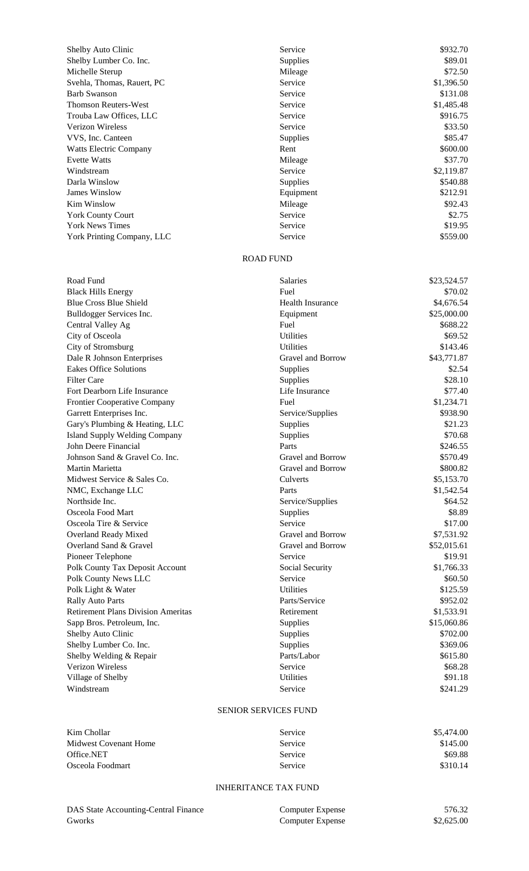| Shelby Auto Clinic            | Service               | \$932.70 |
|-------------------------------|-----------------------|----------|
| Shelby Lumber Co. Inc.        | <b>Supplies</b>       | \$89.01  |
| Michelle Sterup               | Mileage               | \$72.50  |
| Svehla, Thomas, Rauert, PC    | Service<br>\$1,396.50 |          |
| <b>Barb Swanson</b>           | Service               | \$131.08 |
| <b>Thomson Reuters-West</b>   | \$1,485.48<br>Service |          |
| Trouba Law Offices, LLC       | Service               | \$916.75 |
| <b>Verizon Wireless</b>       | Service               | \$33.50  |
| VVS, Inc. Canteen             | <b>Supplies</b>       | \$85.47  |
| <b>Watts Electric Company</b> | Rent                  | \$600.00 |
| <b>Evette Watts</b>           | Mileage               | \$37.70  |
| Windstream                    | \$2,119.87<br>Service |          |
| Darla Winslow                 | <b>Supplies</b>       | \$540.88 |
| <b>James Winslow</b>          | Equipment             | \$212.91 |
| Kim Winslow                   | Mileage               | \$92.43  |
| <b>York County Court</b>      | Service               | \$2.75   |
| <b>York News Times</b>        | Service               | \$19.95  |
| York Printing Company, LLC    | Service               | \$559.00 |

### ROAD FUND

| Road Fund                                 | Salaries          | \$23,524.57 |
|-------------------------------------------|-------------------|-------------|
| <b>Black Hills Energy</b>                 | Fuel              | \$70.02     |
| <b>Blue Cross Blue Shield</b>             | Health Insurance  | \$4,676.54  |
| Bulldogger Services Inc.                  | Equipment         | \$25,000.00 |
| Central Valley Ag                         | Fuel              | \$688.22    |
| City of Osceola                           | <b>Utilities</b>  | \$69.52     |
| City of Stromsburg                        | <b>Utilities</b>  | \$143.46    |
| Dale R Johnson Enterprises                | Gravel and Borrow | \$43,771.87 |
| <b>Eakes Office Solutions</b>             | Supplies          | \$2.54      |
| <b>Filter Care</b>                        | Supplies          | \$28.10     |
| Fort Dearborn Life Insurance              | Life Insurance    | \$77.40     |
| Frontier Cooperative Company              | Fuel              | \$1,234.71  |
| Garrett Enterprises Inc.                  | Service/Supplies  | \$938.90    |
| Gary's Plumbing & Heating, LLC            | Supplies          | \$21.23     |
| <b>Island Supply Welding Company</b>      | Supplies          | \$70.68     |
| John Deere Financial                      | Parts             | \$246.55    |
| Johnson Sand & Gravel Co. Inc.            | Gravel and Borrow | \$570.49    |
| Martin Marietta                           | Gravel and Borrow | \$800.82    |
| Midwest Service & Sales Co.               | Culverts          | \$5,153.70  |
| NMC, Exchange LLC                         | Parts             | \$1,542.54  |
| Northside Inc.                            | Service/Supplies  | \$64.52     |
| Osceola Food Mart                         | Supplies          | \$8.89      |
| Osceola Tire & Service                    | Service           | \$17.00     |
| Overland Ready Mixed                      | Gravel and Borrow | \$7,531.92  |
| Overland Sand & Gravel                    | Gravel and Borrow | \$52,015.61 |
| Pioneer Telephone                         | Service           | \$19.91     |
| Polk County Tax Deposit Account           | Social Security   | \$1,766.33  |
| Polk County News LLC                      | Service           | \$60.50     |
| Polk Light & Water                        | <b>Utilities</b>  | \$125.59    |
| <b>Rally Auto Parts</b>                   | Parts/Service     | \$952.02    |
| <b>Retirement Plans Division Ameritas</b> | Retirement        | \$1,533.91  |
| Sapp Bros. Petroleum, Inc.                | Supplies          | \$15,060.86 |
| Shelby Auto Clinic                        | Supplies          | \$702.00    |
| Shelby Lumber Co. Inc.                    | Supplies          | \$369.06    |
| Shelby Welding & Repair                   | Parts/Labor       | \$615.80    |
| Verizon Wireless                          | Service           | \$68.28     |
| Village of Shelby                         | <b>Utilities</b>  | \$91.18     |
| Windstream                                | Service           | \$241.29    |

## SENIOR SERVICES FUND

| Kim Chollar           | Service | \$5,474.00 |
|-----------------------|---------|------------|
| Midwest Covenant Home | Service | \$145.00   |
| Office.NET            | Service | \$69.88    |
| Osceola Foodmart      | Service | \$310.14   |

## INHERITANCE TAX FUND

| DAS State Accounting-Central Finance |  |
|--------------------------------------|--|
| <b>Gworks</b>                        |  |

| DAS State Accounting-Central Finance | Computer Expense | 576.32     |
|--------------------------------------|------------------|------------|
| Gworks                               | Computer Expense | \$2,625.00 |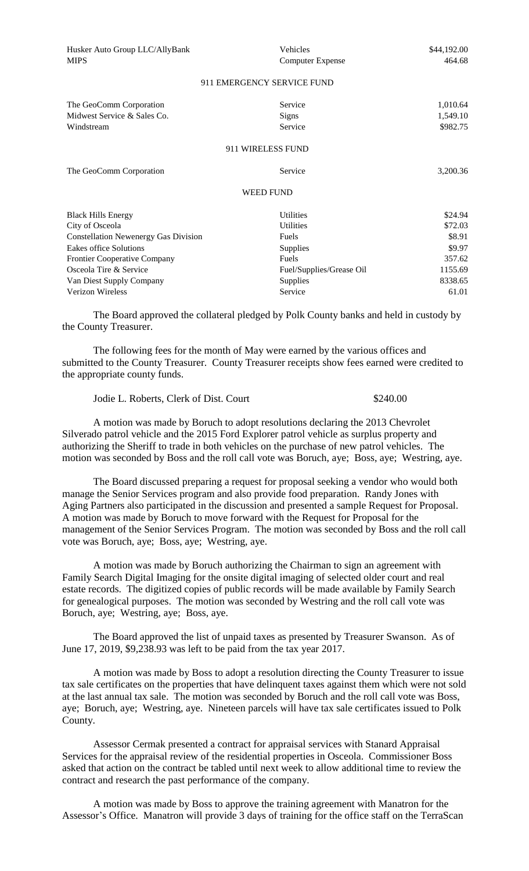| Husker Auto Group LLC/AllyBank<br><b>MIPS</b>                        | Vehicles<br><b>Computer Expense</b> | \$44,192.00<br>464.68            |  |
|----------------------------------------------------------------------|-------------------------------------|----------------------------------|--|
| 911 EMERGENCY SERVICE FUND                                           |                                     |                                  |  |
| The GeoComm Corporation<br>Midwest Service & Sales Co.<br>Windstream | Service<br><b>Signs</b><br>Service  | 1,010.64<br>1,549.10<br>\$982.75 |  |
| 911 WIRELESS FUND                                                    |                                     |                                  |  |
| The GeoComm Corporation                                              | Service                             | 3,200.36                         |  |
| <b>WEED FUND</b>                                                     |                                     |                                  |  |
|                                                                      | <b>Utilities</b>                    |                                  |  |
| <b>Black Hills Energy</b>                                            |                                     | \$24.94                          |  |
| City of Osceola                                                      | <b>Utilities</b>                    | \$72.03                          |  |
| <b>Constellation Newenergy Gas Division</b>                          | Fuels                               | \$8.91                           |  |
| Eakes office Solutions                                               | Supplies                            | \$9.97                           |  |
| <b>Frontier Cooperative Company</b>                                  | Fuels                               | 357.62                           |  |
| Osceola Tire & Service                                               | Fuel/Supplies/Grease Oil            | 1155.69                          |  |
| Van Diest Supply Company                                             | Supplies                            | 8338.65                          |  |
| <b>Verizon Wireless</b>                                              | Service                             | 61.01                            |  |

The Board approved the collateral pledged by Polk County banks and held in custody by the County Treasurer.

The following fees for the month of May were earned by the various offices and submitted to the County Treasurer. County Treasurer receipts show fees earned were credited to the appropriate county funds.

Jodie L. Roberts, Clerk of Dist. Court \$240.00

A motion was made by Boruch to adopt resolutions declaring the 2013 Chevrolet Silverado patrol vehicle and the 2015 Ford Explorer patrol vehicle as surplus property and authorizing the Sheriff to trade in both vehicles on the purchase of new patrol vehicles. The motion was seconded by Boss and the roll call vote was Boruch, aye; Boss, aye; Westring, aye.

The Board discussed preparing a request for proposal seeking a vendor who would both manage the Senior Services program and also provide food preparation. Randy Jones with Aging Partners also participated in the discussion and presented a sample Request for Proposal. A motion was made by Boruch to move forward with the Request for Proposal for the management of the Senior Services Program. The motion was seconded by Boss and the roll call vote was Boruch, aye; Boss, aye; Westring, aye.

A motion was made by Boruch authorizing the Chairman to sign an agreement with Family Search Digital Imaging for the onsite digital imaging of selected older court and real estate records. The digitized copies of public records will be made available by Family Search for genealogical purposes. The motion was seconded by Westring and the roll call vote was Boruch, aye; Westring, aye; Boss, aye.

The Board approved the list of unpaid taxes as presented by Treasurer Swanson. As of June 17, 2019, \$9,238.93 was left to be paid from the tax year 2017.

A motion was made by Boss to adopt a resolution directing the County Treasurer to issue tax sale certificates on the properties that have delinquent taxes against them which were not sold at the last annual tax sale. The motion was seconded by Boruch and the roll call vote was Boss, aye; Boruch, aye; Westring, aye. Nineteen parcels will have tax sale certificates issued to Polk County.

Assessor Cermak presented a contract for appraisal services with Stanard Appraisal Services for the appraisal review of the residential properties in Osceola. Commissioner Boss asked that action on the contract be tabled until next week to allow additional time to review the contract and research the past performance of the company.

A motion was made by Boss to approve the training agreement with Manatron for the Assessor's Office. Manatron will provide 3 days of training for the office staff on the TerraScan